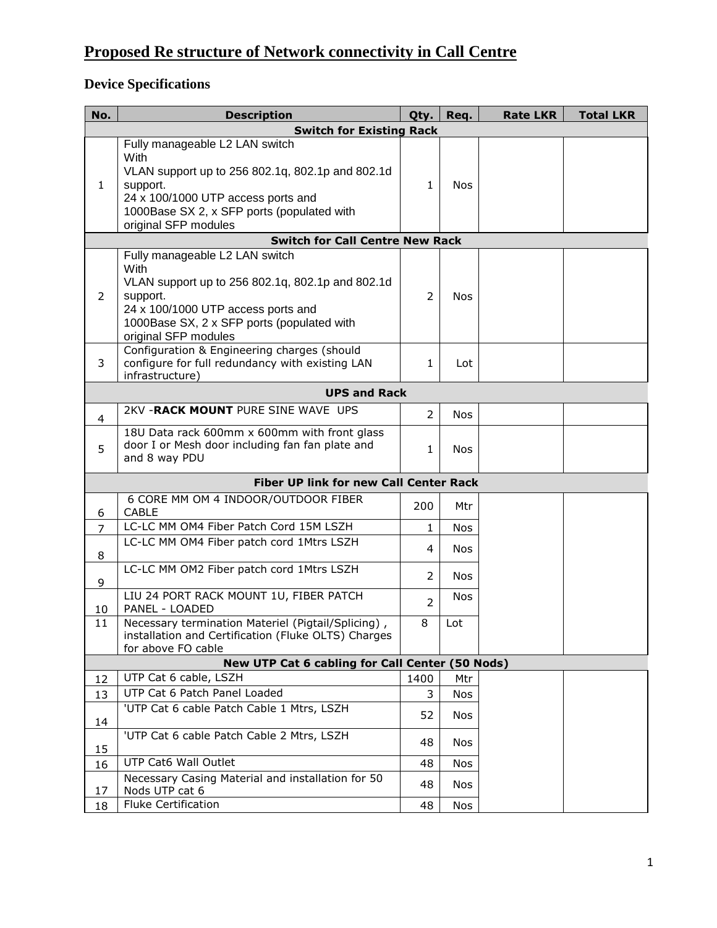## **Proposed Re structure of Network connectivity in Call Centre**

## **Device Specifications**

| No.                                    | <b>Description</b>                                                                                                                                                                                                 | Qty.           | Req.       | <b>Rate LKR</b> | <b>Total LKR</b> |  |  |  |  |
|----------------------------------------|--------------------------------------------------------------------------------------------------------------------------------------------------------------------------------------------------------------------|----------------|------------|-----------------|------------------|--|--|--|--|
|                                        | <b>Switch for Existing Rack</b>                                                                                                                                                                                    |                |            |                 |                  |  |  |  |  |
| $\mathbf{1}$                           | Fully manageable L2 LAN switch<br>With<br>VLAN support up to 256 802.1q, 802.1p and 802.1d<br>support.<br>24 x 100/1000 UTP access ports and<br>1000Base SX 2, x SFP ports (populated with<br>original SFP modules | $\mathbf{1}$   | <b>Nos</b> |                 |                  |  |  |  |  |
| <b>Switch for Call Centre New Rack</b> |                                                                                                                                                                                                                    |                |            |                 |                  |  |  |  |  |
| $\overline{2}$                         | Fully manageable L2 LAN switch<br>With<br>VLAN support up to 256 802.1q, 802.1p and 802.1d<br>support.<br>24 x 100/1000 UTP access ports and<br>1000Base SX, 2 x SFP ports (populated with<br>original SFP modules | $\overline{2}$ | <b>Nos</b> |                 |                  |  |  |  |  |
| 3                                      | Configuration & Engineering charges (should<br>configure for full redundancy with existing LAN<br>infrastructure)                                                                                                  | 1              | Lot        |                 |                  |  |  |  |  |
|                                        | <b>UPS and Rack</b>                                                                                                                                                                                                |                |            |                 |                  |  |  |  |  |
| $\overline{4}$                         | 2KV - RACK MOUNT PURE SINE WAVE UPS                                                                                                                                                                                | $\overline{2}$ | <b>Nos</b> |                 |                  |  |  |  |  |
| 5                                      | 18U Data rack 600mm x 600mm with front glass<br>door I or Mesh door including fan fan plate and<br>and 8 way PDU                                                                                                   | $\mathbf{1}$   | <b>Nos</b> |                 |                  |  |  |  |  |
| Fiber UP link for new Call Center Rack |                                                                                                                                                                                                                    |                |            |                 |                  |  |  |  |  |
| 6                                      | 6 CORE MM OM 4 INDOOR/OUTDOOR FIBER<br><b>CABLE</b>                                                                                                                                                                | 200            | Mtr        |                 |                  |  |  |  |  |
| $\overline{7}$                         | LC-LC MM OM4 Fiber Patch Cord 15M LSZH                                                                                                                                                                             | $\mathbf{1}$   | <b>Nos</b> |                 |                  |  |  |  |  |
| 8                                      | LC-LC MM OM4 Fiber patch cord 1Mtrs LSZH                                                                                                                                                                           | $\overline{4}$ | <b>Nos</b> |                 |                  |  |  |  |  |
| 9                                      | LC-LC MM OM2 Fiber patch cord 1Mtrs LSZH                                                                                                                                                                           | 2              | <b>Nos</b> |                 |                  |  |  |  |  |
| 10                                     | LIU 24 PORT RACK MOUNT 1U, FIBER PATCH<br>PANEL - LOADED                                                                                                                                                           | $\overline{2}$ | <b>Nos</b> |                 |                  |  |  |  |  |
| 11                                     | Necessary termination Materiel (Pigtail/Splicing),<br>installation and Certification (Fluke OLTS) Charges<br>for above FO cable                                                                                    | 8              | Lot        |                 |                  |  |  |  |  |
|                                        | New UTP Cat 6 cabling for Call Center (50 Nods)                                                                                                                                                                    |                |            |                 |                  |  |  |  |  |
| 12                                     | UTP Cat 6 cable, LSZH                                                                                                                                                                                              | 1400           | Mtr        |                 |                  |  |  |  |  |
| 13                                     | UTP Cat 6 Patch Panel Loaded                                                                                                                                                                                       | 3              | Nos        |                 |                  |  |  |  |  |
| 14                                     | 'UTP Cat 6 cable Patch Cable 1 Mtrs, LSZH                                                                                                                                                                          | 52             | <b>Nos</b> |                 |                  |  |  |  |  |
| 15                                     | 'UTP Cat 6 cable Patch Cable 2 Mtrs, LSZH                                                                                                                                                                          | 48             | <b>Nos</b> |                 |                  |  |  |  |  |
| 16                                     | UTP Cat6 Wall Outlet                                                                                                                                                                                               | 48             | <b>Nos</b> |                 |                  |  |  |  |  |
| 17                                     | Necessary Casing Material and installation for 50<br>Nods UTP cat 6                                                                                                                                                | 48             | Nos        |                 |                  |  |  |  |  |
| 18                                     | <b>Fluke Certification</b>                                                                                                                                                                                         | 48             | Nos        |                 |                  |  |  |  |  |